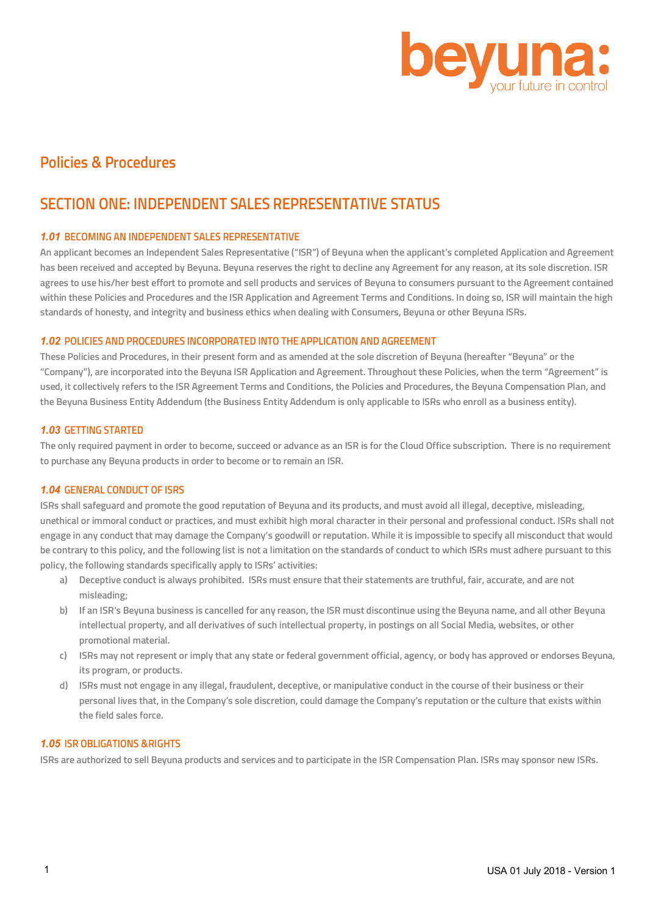

# **Policies & Procedures**

# **SECTION ONE: INDEPENDENT SALES REPRESENTATIVE STATUS**

## *1.01* **BECOMING AN INDEPENDENT SALES REPRESENTATIVE**

**An applicant becomes an Independent Sales Representative ("ISR") of Beyuna when the applicant's completed Application and Agreement has been received and accepted by Beyuna. Beyuna reserves the right to decline any Agreement for any reason, at its sole discretion. ISR agrees to use his/her best effort to promote and sell products and services of Beyuna to consumers pursuant to the Agreement contained within these Policies and Procedures and the ISR Application and Agreement Terms and Conditions. In doing so, ISR will maintain the high standards of honesty, and integrity and business ethics when dealing with Consumers, Beyuna or other Beyuna ISRs.**

## *1.02* **POLICIES AND PROCEDURES INCORPORATED INTO THE APPLICATION AND AGREEMENT**

**These Policies and Procedures, in their present form and as amended at the sole discretion of Beyuna (hereafter "Beyuna" or the "Company"), are incorporated into the Beyuna ISR Application and Agreement. Throughout these Policies, when the term "Agreement" is used, it collectively refers to the ISR Agreement Terms and Conditions, the Policies and Procedures, the Beyuna Compensation Plan, and the Beyuna Business Entity Addendum (the Business Entity Addendum is only applicable to ISRs who enroll as a business entity).**

## *1.03* **GETTING STARTED**

**The only required payment in order to become, succeed or advance as an ISR is for the Cloud Office subscription. There is no requirement to purchase any Beyuna products in order to become or to remain an ISR.**

## *1.04* **GENERAL CONDUCT OF ISRS**

**ISRs shall safeguard and promote the good reputation of Beyuna and its products, and must avoid all illegal, deceptive, misleading, unethical or immoral conduct or practices, and must exhibit high moral character in their personal and professional conduct. ISRs shall not engage in any conduct that may damage the Company's goodwill or reputation. While it is impossible to specify all misconduct that would be contrary to this policy, and the following list is not a limitation on the standards of conduct to which ISRs must adhere pursuant to this policy, the following standards specifically apply to ISRs' activities:**

- **a) Deceptive conduct is always prohibited. ISRs must ensure that their statements are truthful, fair, accurate, and are not misleading;**
- **b) If an ISR's Beyuna business is cancelled for any reason, the ISR must discontinue using the Beyuna name, and all other Beyuna intellectual property, and all derivatives of such intellectual property, in postings on all Social Media, websites, or other promotional material.**
- **c) ISRs may not represent or imply that any state or federal government official, agency, or body has approved or endorses Beyuna, its program, or products.**
- **d) ISRs must not engage in any illegal, fraudulent, deceptive, or manipulative conduct in the course of their business or their personal lives that, in the Company's sole discretion, could damage the Company's reputation or the culture that exists within the field sales force.**

## *1.05* **ISR OBLIGATIONS &RIGHTS**

**ISRs are authorized to sell Beyuna products and services and to participate in the ISR Compensation Plan. ISRs may sponsor new ISRs.**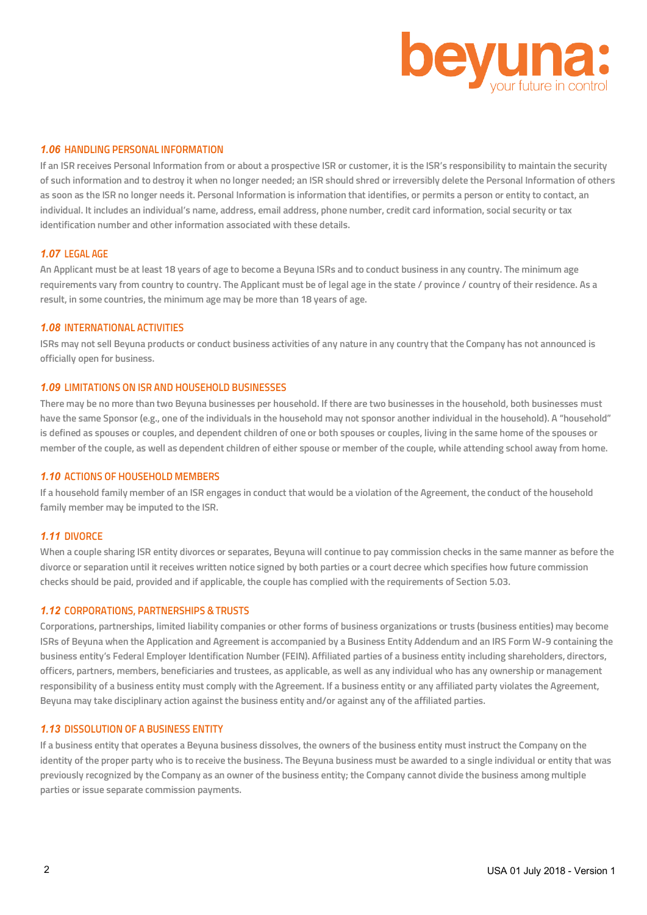

## *1.06* **HANDLING PERSONAL INFORMATION**

**If an ISR receives Personal Information from or about a prospective ISR or customer, it is the ISR's responsibility to maintain the security of such information and to destroy it when no longer needed; an ISR should shred or irreversibly delete the Personal Information of others as soon as the ISR no longer needs it. Personal Information is information that identifies, or permits a person or entity to contact, an individual. It includes an individual's name, address, email address, phone number, credit card information, social security or tax identification number and other information associated with these details.**

#### *1.07* **LEGAL AGE**

**An Applicant must be at least 18 years of age to become a Beyuna ISRs and to conduct business in any country. The minimum age requirements vary from country to country. The Applicant must be of legal age in the state / province / country of their residence. As a result, in some countries, the minimum age may be more than 18 years of age.**

## *1.08* **INTERNATIONAL ACTIVITIES**

**ISRs may not sell Beyuna products or conduct business activities of any nature in any country that the Company has not announced is officially open for business.**

#### *1.09* **LIMITATIONS ON ISR AND HOUSEHOLD BUSINESSES**

**There may be no more than two Beyuna businesses per household. If there are two businesses in the household, both businesses must have the same Sponsor (e.g., one of the individuals in the household may not sponsor another individual in the household). A "household" is defined as spouses or couples, and dependent children of one or both spouses or couples, living in the same home of the spouses or member of the couple, as well as dependent children of either spouse or member of the couple, while attending school away from home.**

#### *1.10* **ACTIONS OF HOUSEHOLD MEMBERS**

**If a household family member of an ISR engages in conduct that would be a violation of the Agreement, the conduct of the household family member may be imputed to the ISR.**

#### *1.11* **DIVORCE**

**When a couple sharing ISR entity divorces or separates, Beyuna will continue to pay commission checks in the same manner as before the divorce or separation until it receives written notice signed by both parties or a court decree which specifies how future commission checks should be paid, provided and if applicable, the couple has complied with the requirements of Section 5.03.**

#### *1.12* **CORPORATIONS, PARTNERSHIPS &TRUSTS**

**Corporations, partnerships, limited liability companies or other forms of business organizations or trusts (business entities) may become ISRs of Beyuna when the Application and Agreement is accompanied by a Business Entity Addendum and an IRS Form W-9 containing the business entity's Federal Employer Identification Number (FEIN). Affiliated parties of a business entity including shareholders, directors, officers, partners, members, beneficiaries and trustees, as applicable, as well as any individual who has any ownership or management responsibility of a business entity must comply with the Agreement. If a business entity or any affiliated party violates the Agreement, Beyuna may take disciplinary action against the business entity and/or against any of the affiliated parties.**

#### *1.13* **DISSOLUTION OF A BUSINESS ENTITY**

**If a business entity that operates a Beyuna business dissolves, the owners of the business entity must instruct the Company on the identity of the proper party who is to receive the business. The Beyuna business must be awarded to a single individual or entity that was previously recognized by the Company as an owner of the business entity; the Company cannot divide the business among multiple parties or issue separate commission payments.**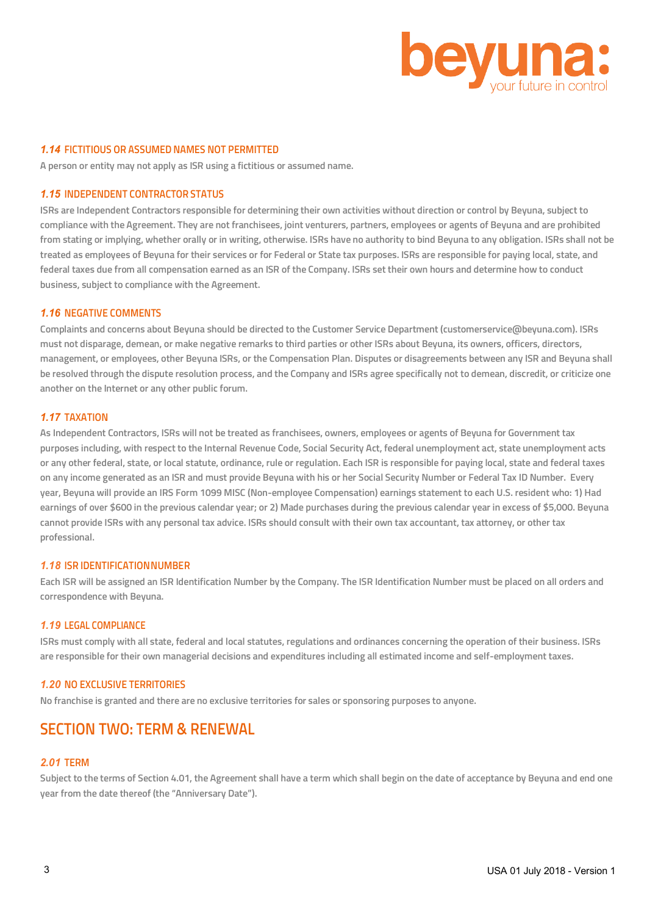

#### *1.14* **FICTITIOUS OR ASSUMED NAMES NOT PERMITTED**

**A person or entity may not apply as ISR using a fictitious or assumed name.**

#### *1.15* **INDEPENDENT CONTRACTOR STATUS**

**ISRs are Independent Contractors responsible for determining their own activities without direction or control by Beyuna, subject to compliance with the Agreement. They are not franchisees, joint venturers, partners, employees or agents of Beyuna and are prohibited from stating or implying, whether orally or in writing, otherwise. ISRs have no authority to bind Beyuna to any obligation. ISRs shall not be treated as employees of Beyuna for their services or for Federal or State tax purposes. ISRs are responsible for paying local, state, and federal taxes due from all compensation earned as an ISR of the Company. ISRs set their own hours and determine how to conduct business, subject to compliance with the Agreement.**

#### *1.16* **NEGATIVE COMMENTS**

**Complaints and concerns about Beyuna should be directed to the Customer Service Department (customerservice@beyuna.com). ISRs must not disparage, demean, or make negative remarks to third parties or other ISRs about Beyuna, its owners, officers, directors, management, or employees, other Beyuna ISRs, or the Compensation Plan. Disputes or disagreements between any ISR and Beyuna shall be resolved through the dispute resolution process, and the Company and ISRs agree specifically not to demean, discredit, or criticize one another on the Internet or any other public forum.**

#### *1.17* **TAXATION**

**As Independent Contractors, ISRs will not be treated as franchisees, owners, employees or agents of Beyuna for Government tax purposes including, with respect to the Internal Revenue Code, Social Security Act, federal unemployment act, state unemployment acts or any other federal, state, or local statute, ordinance, rule or regulation. Each ISR is responsible for paying local, state and federal taxes on any income generated as an ISR and must provide Beyuna with his or her Social Security Number or Federal Tax ID Number. Every year, Beyuna will provide an IRS Form 1099 MISC (Non-employee Compensation) earnings statement to each U.S. resident who: 1) Had earnings of over \$600 in the previous calendar year; or 2) Made purchases during the previous calendar year in excess of \$5,000. Beyuna cannot provide ISRs with any personal tax advice. ISRs should consult with their own tax accountant, tax attorney, or other tax professional.**

## *1.18* **ISR IDENTIFICATIONNUMBER**

**Each ISR will be assigned an ISR Identification Number by the Company. The ISR Identification Number must be placed on all orders and correspondence with Beyuna.**

#### *1.19* **LEGAL COMPLIANCE**

**ISRs must comply with all state, federal and local statutes, regulations and ordinances concerning the operation of their business. ISRs are responsible for their own managerial decisions and expenditures including all estimated income and self-employment taxes.**

## *1.20* **NO EXCLUSIVE TERRITORIES**

**No franchise is granted and there are no exclusive territories for sales or sponsoring purposes to anyone.**

## **SECTION TWO: TERM & RENEWAL**

#### *2.01* **TERM**

**Subject to the terms of Section 4.01, the Agreement shall have a term which shall begin on the date of acceptance by Beyuna and end one year from the date thereof (the "Anniversary Date").**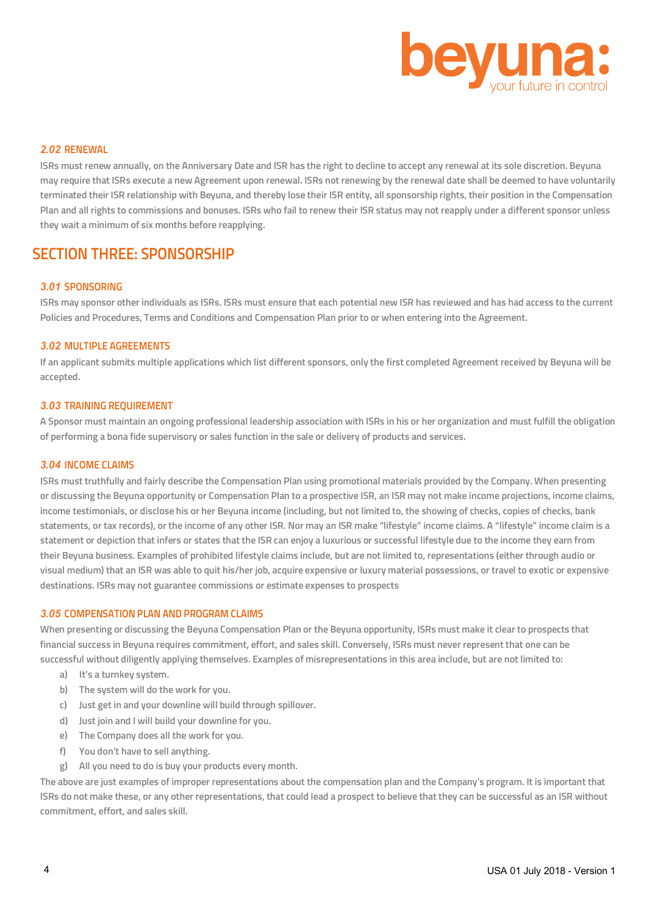

#### *2.02* **RENEWAL**

**ISRs must renew annually, on the Anniversary Date and ISR has the right to decline to accept any renewal at its sole discretion. Beyuna may require that ISRs execute a new Agreement upon renewal. ISRs not renewing by the renewal date shall be deemed to have voluntarily terminated their ISR relationship with Beyuna, and thereby lose their ISR entity, all sponsorship rights, their position in the Compensation Plan and all rights to commissions and bonuses. ISRs who fail to renew their ISR status may not reapply under a different sponsor unless they wait a minimum of six months before reapplying.**

## **SECTION THREE: SPONSORSHIP**

#### *3.01* **SPONSORING**

**ISRs may sponsor other individuals as ISRs. ISRs must ensure that each potential new ISR has reviewed and has had access to the current Policies and Procedures, Terms and Conditions and Compensation Plan prior to or when entering into the Agreement.**

#### *3.02* **MULTIPLE AGREEMENTS**

**If an applicant submits multiple applications which list different sponsors, only the first completed Agreement received by Beyuna will be accepted.**

#### *3.03* **TRAINING REQUIREMENT**

**A Sponsor must maintain an ongoing professional leadership association with ISRs in his or her organization and must fulfill the obligation of performing a bona fide supervisory or sales function in the sale or delivery of products and services.**

#### *3.04* **INCOME CLAIMS**

**ISRs must truthfully and fairly describe the Compensation Plan using promotional materials provided by the Company. When presenting or discussing the Beyuna opportunity or Compensation Plan to a prospective ISR, an ISR may not make income projections, income claims, income testimonials, or disclose his or her Beyuna income (including, but not limited to, the showing of checks, copies of checks, bank statements, or tax records), or the income of any other ISR. Nor may an ISR make "lifestyle" income claims. A "lifestyle" income claim is a statement or depiction that infers or states that the ISR can enjoy a luxurious or successful lifestyle due to the income they earn from their Beyuna business. Examples of prohibited lifestyle claims include, but are not limited to, representations (either through audio or visual medium) that an ISR was able to quit his/her job, acquire expensive or luxury material possessions, or travel to exotic or expensive destinations. ISRs may not guarantee commissions or estimate expenses to prospects**

#### *3.05* **COMPENSATION PLAN AND PROGRAM CLAIMS**

**When presenting or discussing the Beyuna Compensation Plan or the Beyuna opportunity, ISRs must make it clear to prospects that financial success in Beyuna requires commitment, effort, and sales skill. Conversely, ISRs must never represent that one can be successful without diligently applying themselves. Examples of misrepresentations in this area include, but are not limited to:**

- **a) It's a turnkey system.**
- **b) The system will do the work for you.**
- **c) Just get in and your downline will build through spillover.**
- **d) Just join and I will build your downline for you.**
- **e) The Company does all the work for you.**
- **f) You don't have to sell anything.**
- **g) All you need to do is buy your products every month.**

**The above are just examples of improper representations about the compensation plan and the Company's program. It is important that ISRs do not make these, or any other representations, that could lead a prospect to believe that they can be successful as an ISR without commitment, effort, and sales skill.**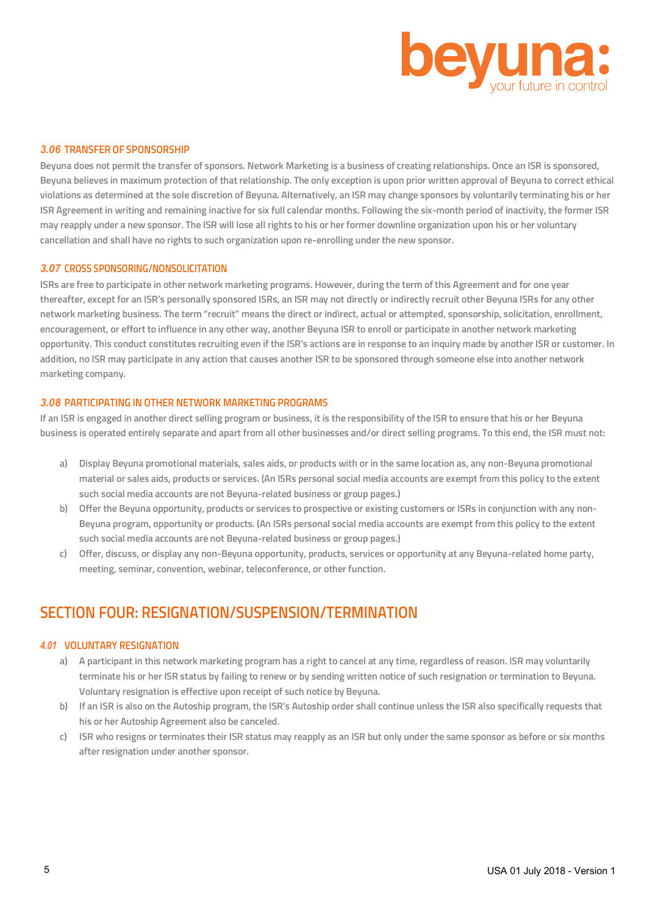

#### *3.06* **TRANSFER OF SPONSORSHIP**

**Beyuna does not permit the transfer of sponsors. Network Marketing is a business of creating relationships. Once an ISR is sponsored, Beyuna believes in maximum protection of that relationship. The only exception is upon prior written approval of Beyuna to correct ethical violations as determined at the sole discretion of Beyuna. Alternatively, an ISR may change sponsors by voluntarily terminating his or her ISR Agreement in writing and remaining inactive for six full calendar months. Following the six-month period of inactivity, the former ISR may reapply under a new sponsor. The ISR will lose all rights to his or her former downline organization upon his or her voluntary cancellation and shall have no rights to such organization upon re-enrolling under the new sponsor.**

## *3.07* **CROSS SPONSORING/NONSOLICITATION**

**ISRs are free to participate in other network marketing programs. However, during the term of this Agreement and for one year thereafter, except for an ISR's personally sponsored ISRs, an ISR may not directly or indirectly recruit other Beyuna ISRs for any other network marketing business. The term "recruit" means the direct or indirect, actual or attempted, sponsorship, solicitation, enrollment, encouragement, or effort to influence in any other way, another Beyuna ISR to enroll or participate in another network marketing opportunity. This conduct constitutes recruiting even if the ISR's actions are in response to an inquiry made by another ISR or customer. In addition, no ISR may participate in any action that causes another ISR to be sponsored through someone else into another network marketing company.**

#### *3.08* **PARTICIPATING IN OTHER NETWORK MARKETING PROGRAMS**

**If an ISR is engaged in another direct selling program or business, it is the responsibility of the ISR to ensure that his or her Beyuna business is operated entirely separate and apart from all other businesses and/or direct selling programs. To this end, the ISR must not:**

- **a) Display Beyuna promotional materials, sales aids, or products with or in the same location as, any non-Beyuna promotional material or sales aids, products or services. (An ISRs personal social media accounts are exempt from this policy to the extent such social media accounts are not Beyuna-related business or group pages.)**
- **b) Offer the Beyuna opportunity, products or services to prospective or existing customers or ISRs in conjunction with any non-Beyuna program, opportunity or products. (An ISRs personal social media accounts are exempt from this policy to the extent such social media accounts are not Beyuna-related business or group pages.)**
- **c) Offer, discuss, or display any non-Beyuna opportunity, products, services or opportunity at any Beyuna-related home party, meeting, seminar, convention, webinar, teleconference, or other function.**

# **SECTION FOUR: RESIGNATION/SUSPENSION/TERMINATION**

### *4.01* **VOLUNTARY RESIGNATION**

- **a) A participant in this network marketing program has a right to cancel at any time, regardless of reason. ISR may voluntarily terminate his or her ISR status by failing to renew or by sending written notice of such resignation or termination to Beyuna. Voluntary resignation is effective upon receipt of such notice by Beyuna.**
- **b) If an ISR is also on the Autoship program, the ISR's Autoship order shall continue unless the ISR also specifically requests that his or her Autoship Agreement also be canceled.**
- **c) ISR who resigns or terminates their ISR status may reapply as an ISR but only under the same sponsor as before or six months after resignation under another sponsor.**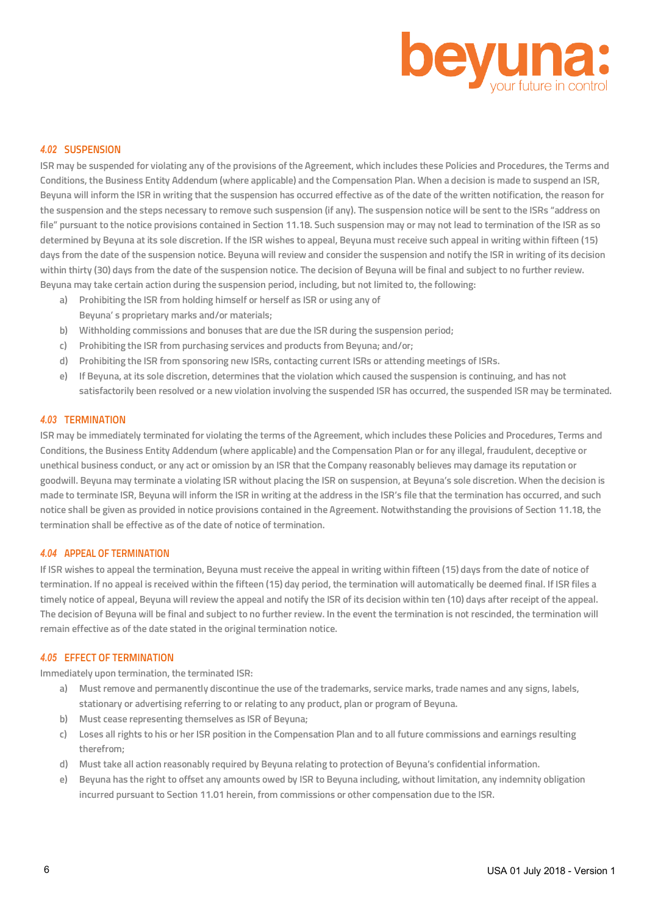

#### *4.02* **SUSPENSION**

**ISR may be suspended for violating any of the provisions of the Agreement, which includes these Policies and Procedures, the Terms and Conditions, the Business Entity Addendum (where applicable) and the Compensation Plan. When a decision is made to suspend an ISR, Beyuna will inform the ISR in writing that the suspension has occurred effective as of the date of the written notification, the reason for the suspension and the steps necessary to remove such suspension (if any). The suspension notice will be sent to the ISRs "address on file" pursuant to the notice provisions contained in Section 11.18. Such suspension may or may not lead to termination of the ISR as so determined by Beyuna at its sole discretion. If the ISR wishes to appeal, Beyuna must receive such appeal in writing within fifteen (15) days from the date of the suspension notice. Beyuna will review and consider the suspension and notify the ISR in writing of its decision within thirty (30) days from the date of the suspension notice. The decision of Beyuna will be final and subject to no further review. Beyuna may take certain action during the suspension period, including, but not limited to, the following:**

- **a) Prohibiting the ISR from holding himself or herself as ISR or using any of Beyuna' s proprietary marks and/or materials;**
- **b) Withholding commissions and bonuses that are due the ISR during the suspension period;**
- **c) Prohibiting the ISR from purchasing services and products from Beyuna; and/or;**
- **d) Prohibiting the ISR from sponsoring new ISRs, contacting current ISRs or attending meetings of ISRs.**
- **e) If Beyuna, at its sole discretion, determines that the violation which caused the suspension is continuing, and has not satisfactorily been resolved or a new violation involving the suspended ISR has occurred, the suspended ISR may be terminated.**

#### *4.03* **TERMINATION**

**ISR may be immediately terminated for violating the terms of the Agreement, which includes these Policies and Procedures, Terms and Conditions, the Business Entity Addendum (where applicable) and the Compensation Plan or for any illegal, fraudulent, deceptive or unethical business conduct, or any act or omission by an ISR that the Company reasonably believes may damage its reputation or goodwill. Beyuna may terminate a violating ISR without placing the ISR on suspension, at Beyuna's sole discretion. When the decision is made to terminate ISR, Beyuna will inform the ISR in writing at the address in the ISR's file that the termination has occurred, and such notice shall be given as provided in notice provisions contained in the Agreement. Notwithstanding the provisions of Section 11.18, the termination shall be effective as of the date of notice of termination.** 

## *4.04* **APPEAL OF TERMINATION**

**If ISR wishes to appeal the termination, Beyuna must receive the appeal in writing within fifteen (15) days from the date of notice of termination. If no appeal is received within the fifteen (15) day period, the termination will automatically be deemed final. If ISR files a timely notice of appeal, Beyuna will review the appeal and notify the ISR of its decision within ten (10) days after receipt of the appeal. The decision of Beyuna will be final and subject to no further review. In the event the termination is not rescinded, the termination will remain effective as of the date stated in the original termination notice.**

#### *4.05* **EFFECT OF TERMINATION**

**Immediately upon termination, the terminated ISR:**

- **a) Must remove and permanently discontinue the use of the trademarks, service marks, trade names and any signs, labels, stationary or advertising referring to or relating to any product, plan or program of Beyuna.**
- **b) Must cease representing themselves as ISR of Beyuna;**
- **c) Loses all rights to his or her ISR position in the Compensation Plan and to all future commissions and earnings resulting therefrom;**
- **d) Must take all action reasonably required by Beyuna relating to protection of Beyuna's confidential information.**
- **e) Beyuna has the right to offset any amounts owed by ISR to Beyuna including, without limitation, any indemnity obligation incurred pursuant to Section 11.01 herein, from commissions or other compensation due to the ISR.**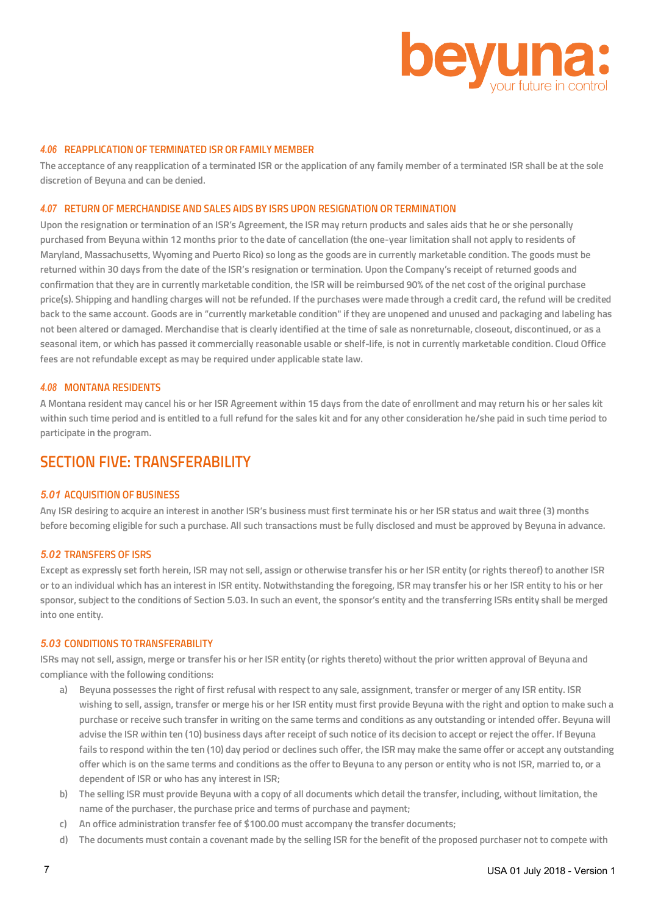

## *4.06* **REAPPLICATION OF TERMINATED ISR OR FAMILY MEMBER**

**The acceptance of any reapplication of a terminated ISR or the application of any family member of a terminated ISR shall be at the sole discretion of Beyuna and can be denied.**

## *4.07* **RETURN OF MERCHANDISE AND SALES AIDS BY ISRS UPON RESIGNATION OR TERMINATION**

**Upon the resignation or termination of an ISR's Agreement, the ISR may return products and sales aids that he or she personally purchased from Beyuna within 12 months prior to the date of cancellation (the one-year limitation shall not apply to residents of Maryland, Massachusetts, Wyoming and Puerto Rico) so long as the goods are in currently marketable condition. The goods must be returned within 30 days from the date of the ISR's resignation or termination. Upon the Company's receipt of returned goods and confirmation that they are in currently marketable condition, the ISR will be reimbursed 90% of the net cost of the original purchase price(s). Shipping and handling charges will not be refunded. If the purchases were made through a credit card, the refund will be credited back to the same account. Goods are in "currently marketable condition" if they are unopened and unused and packaging and labeling has not been altered or damaged. Merchandise that is clearly identified at the time of sale as nonreturnable, closeout, discontinued, or as a seasonal item, or which has passed it commercially reasonable usable or shelf-life, is not in currently marketable condition. Cloud Office fees are not refundable except as may be required under applicable state law.**

#### *4.08* **MONTANA RESIDENTS**

**A Montana resident may cancel his or her ISR Agreement within 15 days from the date of enrollment and may return his or her sales kit within such time period and is entitled to a full refund for the sales kit and for any other consideration he/she paid in such time period to participate in the program.**

## **SECTION FIVE: TRANSFERABILITY**

#### *5.01* **ACQUISITION OF BUSINESS**

**Any ISR desiring to acquire an interest in another ISR's business must first terminate his or her ISR status and wait three (3) months before becoming eligible for such a purchase. All such transactions must be fully disclosed and must be approved by Beyuna in advance.**

#### *5.02* **TRANSFERS OF ISRS**

**Except as expressly set forth herein, ISR may not sell, assign or otherwise transfer his or her ISR entity (or rights thereof) to another ISR or to an individual which has an interest in ISR entity. Notwithstanding the foregoing, ISR may transfer his or her ISR entity to his or her sponsor, subject to the conditions of Section 5.03. In such an event, the sponsor's entity and the transferring ISRs entity shall be merged into one entity.**

#### *5.03* **CONDITIONS TO TRANSFERABILITY**

**ISRs may not sell, assign, merge or transfer his or her ISR entity (or rights thereto) without the prior written approval of Beyuna and compliance with the following conditions:**

- **a) Beyuna possesses the right of first refusal with respect to any sale, assignment, transfer or merger of any ISR entity. ISR wishing to sell, assign, transfer or merge his or her ISR entity must first provide Beyuna with the right and option to make such a purchase or receive such transfer in writing on the same terms and conditions as any outstanding or intended offer. Beyuna will advise the ISR within ten (10) business days after receipt of such notice of its decision to accept or reject the offer. If Beyuna fails to respond within the ten (10) day period or declines such offer, the ISR may make the same offer or accept any outstanding offer which is on the same terms and conditions as the offer to Beyuna to any person or entity who is not ISR, married to, or a dependent of ISR or who has any interest in ISR;**
- **b) The selling ISR must provide Beyuna with a copy of all documents which detail the transfer, including, without limitation, the name of the purchaser, the purchase price and terms of purchase and payment;**
- **c) An office administration transfer fee of \$100.00 must accompany the transfer documents;**
- **d) The documents must contain a covenant made by the selling ISR for the benefit of the proposed purchaser not to compete with**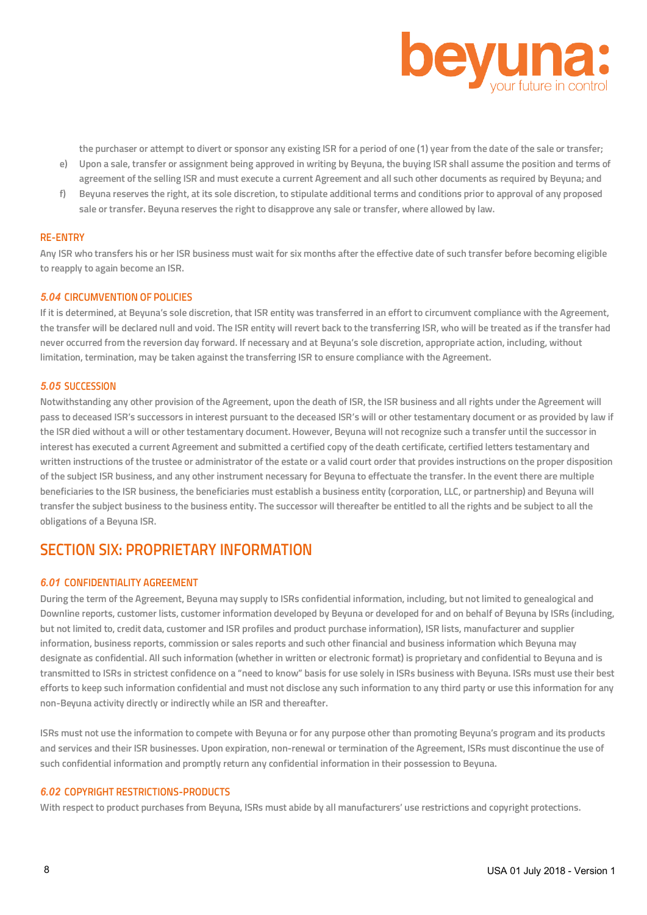

**the purchaser or attempt to divert or sponsor any existing ISR for a period of one (1) year from the date of the sale or transfer;**

- **e) Upon a sale, transfer or assignment being approved in writing by Beyuna, the buying ISR shall assume the position and terms of agreement of the selling ISR and must execute a current Agreement and all such other documents as required by Beyuna; and**
- **f) Beyuna reserves the right, at its sole discretion, to stipulate additional terms and conditions prior to approval of any proposed sale or transfer. Beyuna reserves the right to disapprove any sale or transfer, where allowed by law.**

#### **RE-ENTRY**

**Any ISR who transfers his or her ISR business must wait for six months after the effective date of such transfer before becoming eligible to reapply to again become an ISR.**

#### *5.04* **CIRCUMVENTION OF POLICIES**

**If it is determined, at Beyuna's sole discretion, that ISR entity was transferred in an effort to circumvent compliance with the Agreement, the transfer will be declared null and void. The ISR entity will revert back to the transferring ISR, who will be treated as if the transfer had never occurred from the reversion day forward. If necessary and at Beyuna's sole discretion, appropriate action, including, without limitation, termination, may be taken against the transferring ISR to ensure compliance with the Agreement.**

#### *5.05* **SUCCESSION**

**Notwithstanding any other provision of the Agreement, upon the death of ISR, the ISR business and all rights under the Agreement will**  pass to deceased ISR's successors in interest pursuant to the deceased ISR's will or other testamentary document or as provided by law if **the ISR died without a will or other testamentary document. However, Beyuna will not recognize such a transfer until the successor in interest has executed a current Agreement and submitted a certified copy of the death certificate, certified letters testamentary and written instructions of the trustee or administrator of the estate or a valid court order that provides instructions on the proper disposition of the subject ISR business, and any other instrument necessary for Beyuna to effectuate the transfer. In the event there are multiple beneficiaries to the ISR business, the beneficiaries must establish a business entity (corporation, LLC, or partnership) and Beyuna will transfer the subject business to the business entity. The successor will thereafter be entitled to all the rights and be subject to all the obligations of a Beyuna ISR.**

## **SECTION SIX: PROPRIETARY INFORMATION**

## *6.01* **CONFIDENTIALITY AGREEMENT**

**During the term of the Agreement, Beyuna may supply to ISRs confidential information, including, but not limited to genealogical and Downline reports, customer lists, customer information developed by Beyuna or developed for and on behalf of Beyuna by ISRs (including, but not limited to, credit data, customer and ISR profiles and product purchase information), ISR lists, manufacturer and supplier information, business reports, commission or sales reports and such other financial and business information which Beyuna may designate as confidential. All such information (whether in written or electronic format) is proprietary and confidential to Beyuna and is transmitted to ISRs in strictest confidence on a "need to know" basis for use solely in ISRs business with Beyuna. ISRs must use their best efforts to keep such information confidential and must not disclose any such information to any third party or use this information for any non-Beyuna activity directly or indirectly while an ISR and thereafter.**

**ISRs must not use the information to compete with Beyuna or for any purpose other than promoting Beyuna's program and its products and services and their ISR businesses. Upon expiration, non-renewal or termination of the Agreement, ISRs must discontinue the use of such confidential information and promptly return any confidential information in their possession to Beyuna.**

## *6.02* **COPYRIGHT RESTRICTIONS-PRODUCTS**

**With respect to product purchases from Beyuna, ISRs must abide by all manufacturers' use restrictions and copyright protections.**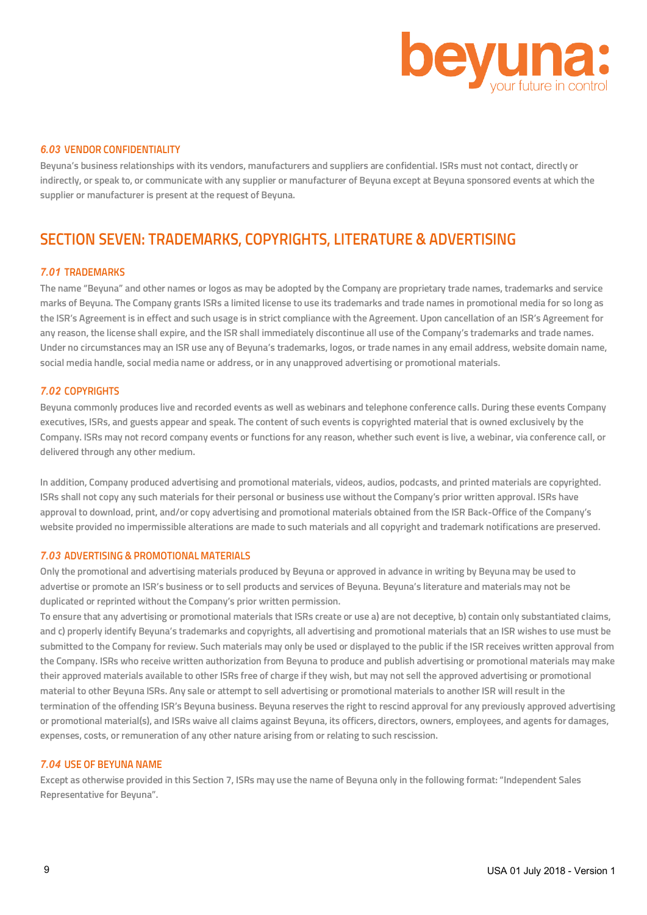

## *6.03* **VENDOR CONFIDENTIALITY**

**Beyuna's business relationships with its vendors, manufacturers and suppliers are confidential. ISRs must not contact, directly or indirectly, or speak to, or communicate with any supplier or manufacturer of Beyuna except at Beyuna sponsored events at which the supplier or manufacturer is present at the request of Beyuna.**

# **SECTION SEVEN: TRADEMARKS, COPYRIGHTS, LITERATURE & ADVERTISING**

#### *7.01* **TRADEMARKS**

**The name "Beyuna" and other names or logos as may be adopted by the Company are proprietary trade names, trademarks and service marks of Beyuna. The Company grants ISRs a limited license to use its trademarks and trade names in promotional media for so long as the ISR's Agreement is in effect and such usage is in strict compliance with the Agreement. Upon cancellation of an ISR's Agreement for any reason, the license shall expire, and the ISR shall immediately discontinue all use of the Company's trademarks and trade names. Under no circumstances may an ISR use any of Beyuna's trademarks, logos, or trade names in any email address, website domain name, social media handle, social media name or address, or in any unapproved advertising or promotional materials.**

## *7.02* **COPYRIGHTS**

**Beyuna commonly produces live and recorded events as well as webinars and telephone conference calls. During these events Company executives, ISRs, and guests appear and speak. The content of such events is copyrighted material that is owned exclusively by the Company. ISRs may not record company events or functions for any reason, whether such event is live, a webinar, via conference call, or delivered through any other medium.**

**In addition, Company produced advertising and promotional materials, videos, audios, podcasts, and printed materials are copyrighted. ISRs shall not copy any such materials for their personal or business use without the Company's prior written approval. ISRs have approval to download, print, and/or copy advertising and promotional materials obtained from the ISR Back-Office of the Company's website provided no impermissible alterations are made to such materials and all copyright and trademark notifications are preserved.**

### *7.03* **ADVERTISING & PROMOTIONAL MATERIALS**

**Only the promotional and advertising materials produced by Beyuna or approved in advance in writing by Beyuna may be used to advertise or promote an ISR's business or to sell products and services of Beyuna. Beyuna's literature and materials may not be duplicated or reprinted without the Company's prior written permission.**

**To ensure that any advertising or promotional materials that ISRs create or use a) are not deceptive, b) contain only substantiated claims, and c) properly identify Beyuna's trademarks and copyrights, all advertising and promotional materials that an ISR wishes to use must be submitted to the Company for review. Such materials may only be used or displayed to the public if the ISR receives written approval from the Company. ISRs who receive written authorization from Beyuna to produce and publish advertising or promotional materials may make their approved materials available to other ISRs free of charge if they wish, but may not sell the approved advertising or promotional material to other Beyuna ISRs. Any sale or attempt to sell advertising or promotional materials to another ISR will result in the termination of the offending ISR's Beyuna business. Beyuna reserves the right to rescind approval for any previously approved advertising or promotional material(s), and ISRs waive all claims against Beyuna, its officers, directors, owners, employees, and agents for damages, expenses, costs, or remuneration of any other nature arising from or relating to such rescission.**

#### *7.04* **USE OF BEYUNA NAME**

**Except as otherwise provided in this Section 7, ISRs may use the name of Beyuna only in the following format: "Independent Sales Representative for Beyuna".**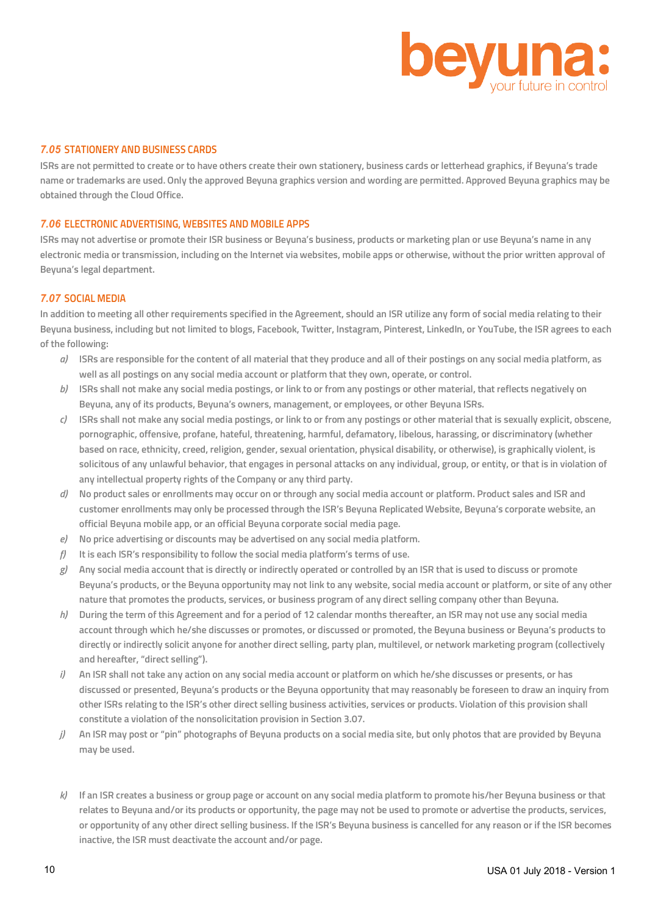

## *7.05* **STATIONERY AND BUSINESS CARDS**

**ISRs are not permitted to create or to have others create their own stationery, business cards or letterhead graphics, if Beyuna's trade name or trademarks are used. Only the approved Beyuna graphics version and wording are permitted. Approved Beyuna graphics may be obtained through the Cloud Office.**

## *7.06* **ELECTRONIC ADVERTISING, WEBSITES AND MOBILE APPS**

**ISRs may not advertise or promote their ISR business or Beyuna's business, products or marketing plan or use Beyuna's name in any electronic media or transmission, including on the Internet via websites, mobile apps or otherwise, without the prior written approval of Beyuna's legal department.**

#### *7.07* **SOCIAL MEDIA**

**In addition to meeting all other requirements specified in the Agreement, should an ISR utilize any form of social media relating to their Beyuna business, including but not limited to blogs, Facebook, Twitter, Instagram, Pinterest, LinkedIn, or YouTube, the ISR agrees to each of the following:**

- *a)* **ISRs are responsible for the content of all material that they produce and all of their postings on any social media platform, as well as all postings on any social media account or platform that they own, operate, or control.**
- *b)* **ISRs shall not make any social media postings, or link to or from any postings or other material, that reflects negatively on Beyuna, any of its products, Beyuna's owners, management, or employees, or other Beyuna ISRs.**
- *c)* **ISRs shall not make any social media postings, or link to or from any postings or other material that is sexually explicit, obscene, pornographic, offensive, profane, hateful, threatening, harmful, defamatory, libelous, harassing, or discriminatory (whether based on race, ethnicity, creed, religion, gender, sexual orientation, physical disability, or otherwise), is graphically violent, is solicitous of any unlawful behavior, that engages in personal attacks on any individual, group, or entity, or that is in violation of any intellectual property rights of the Company or any third party.**
- *d)* **No product sales or enrollments may occur on or through any social media account or platform. Product sales and ISR and customer enrollments may only be processed through the ISR's Beyuna Replicated Website, Beyuna's corporate website, an official Beyuna mobile app, or an official Beyuna corporate social media page.**
- *e)* **No price advertising or discounts may be advertised on any social media platform.**
- *f)* **It is each ISR's responsibility to follow the social media platform's terms of use.**
- *g)* **Any social media account that is directly or indirectly operated or controlled by an ISR that is used to discuss or promote Beyuna's products, or the Beyuna opportunity may not link to any website, social media account or platform, or site of any other nature that promotes the products, services, or business program of any direct selling company other than Beyuna.**
- *h)* **During the term of this Agreement and for a period of 12 calendar months thereafter, an ISR may not use any social media account through which he/she discusses or promotes, or discussed or promoted, the Beyuna business or Beyuna's products to directly or indirectly solicit anyone for another direct selling, party plan, multilevel, or network marketing program (collectively and hereafter, "direct selling").**
- *i)* **An ISR shall not take any action on any social media account or platform on which he/she discusses or presents, or has discussed or presented, Beyuna's products or the Beyuna opportunity that may reasonably be foreseen to draw an inquiry from other ISRs relating to the ISR's other direct selling business activities, services or products. Violation of this provision shall constitute a violation of the nonsolicitation provision in Section 3.07.**
- *j)* **An ISR may post or "pin" photographs of Beyuna products on a social media site, but only photos that are provided by Beyuna may be used.**
- *k)* **If an ISR creates a business or group page or account on any social media platform to promote his/her Beyuna business or that relates to Beyuna and/or its products or opportunity, the page may not be used to promote or advertise the products, services, or opportunity of any other direct selling business. If the ISR's Beyuna business is cancelled for any reason or if the ISR becomes inactive, the ISR must deactivate the account and/or page.**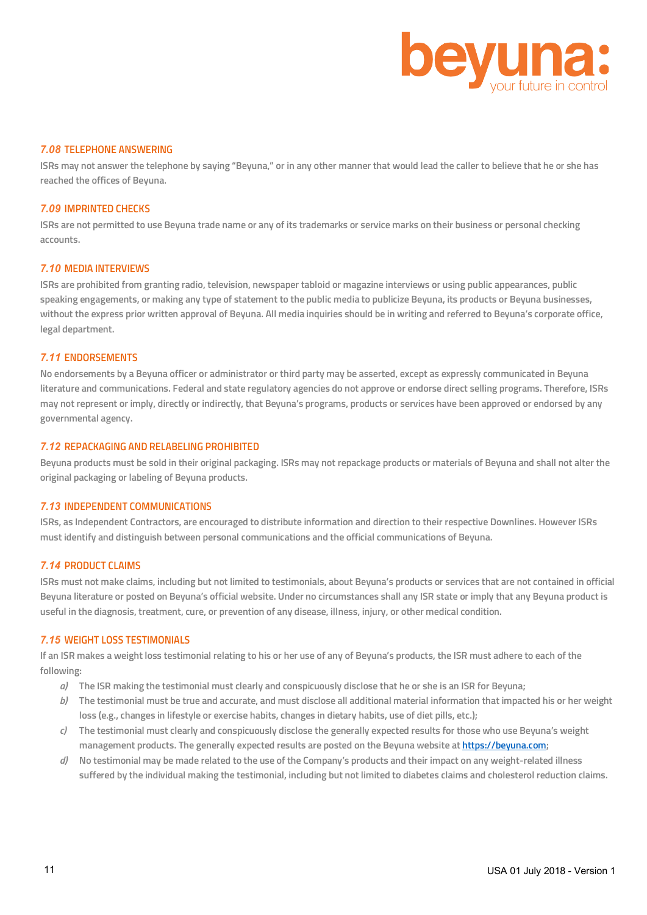

#### *7.08* **TELEPHONE ANSWERING**

**ISRs may not answer the telephone by saying "Beyuna," or in any other manner that would lead the caller to believe that he or she has reached the offices of Beyuna.**

## *7.09* **IMPRINTED CHECKS**

**ISRs are not permitted to use Beyuna trade name or any of its trademarks or service marks on their business or personal checking accounts.**

#### *7.10* **MEDIA INTERVIEWS**

**ISRs are prohibited from granting radio, television, newspaper tabloid or magazine interviews or using public appearances, public speaking engagements, or making any type of statement to the public media to publicize Beyuna, its products or Beyuna businesses, without the express prior written approval of Beyuna. All media inquiries should be in writing and referred to Beyuna's corporate office, legal department.**

#### *7.11* **ENDORSEMENTS**

**No endorsements by a Beyuna officer or administrator or third party may be asserted, except as expressly communicated in Beyuna literature and communications. Federal and state regulatory agencies do not approve or endorse direct selling programs. Therefore, ISRs may not represent or imply, directly or indirectly, that Beyuna's programs, products or services have been approved or endorsed by any governmental agency.**

## *7.12* **REPACKAGING AND RELABELING PROHIBITED**

**Beyuna products must be sold in their original packaging. ISRs may not repackage products or materials of Beyuna and shall not alter the original packaging or labeling of Beyuna products.**

#### *7.13* **INDEPENDENT COMMUNICATIONS**

**ISRs, as Independent Contractors, are encouraged to distribute information and direction to their respective Downlines. However ISRs must identify and distinguish between personal communications and the official communications of Beyuna.**

## *7.14* **PRODUCT CLAIMS**

**ISRs must not make claims, including but not limited to testimonials, about Beyuna's products or services that are not contained in official Beyuna literature or posted on Beyuna's official website. Under no circumstances shall any ISR state or imply that any Beyuna product is useful in the diagnosis, treatment, cure, or prevention of any disease, illness, injury, or other medical condition.**

#### *7.15* **WEIGHT LOSS TESTIMONIALS**

**If an ISR makes a weight loss testimonial relating to his or her use of any of Beyuna's products, the ISR must adhere to each of the following:**

- *a)* **The ISR making the testimonial must clearly and conspicuously disclose that he or she is an ISR for Beyuna;**
- *b)* **The testimonial must be true and accurate, and must disclose all additional material information that impacted his or her weight loss (e.g., changes in lifestyle or exercise habits, changes in dietary habits, use of diet pills, etc.);**
- *c)* **The testimonial must clearly and conspicuously disclose the generally expected results for those who use Beyuna's weight management products. The generally expected results are posted on the Beyuna website at https://beyuna.com;**
- *d)* **No testimonial may be made related to the use of the Company's products and their impact on any weight-related illness suffered by the individual making the testimonial, including but not limited to diabetes claims and cholesterol reduction claims.**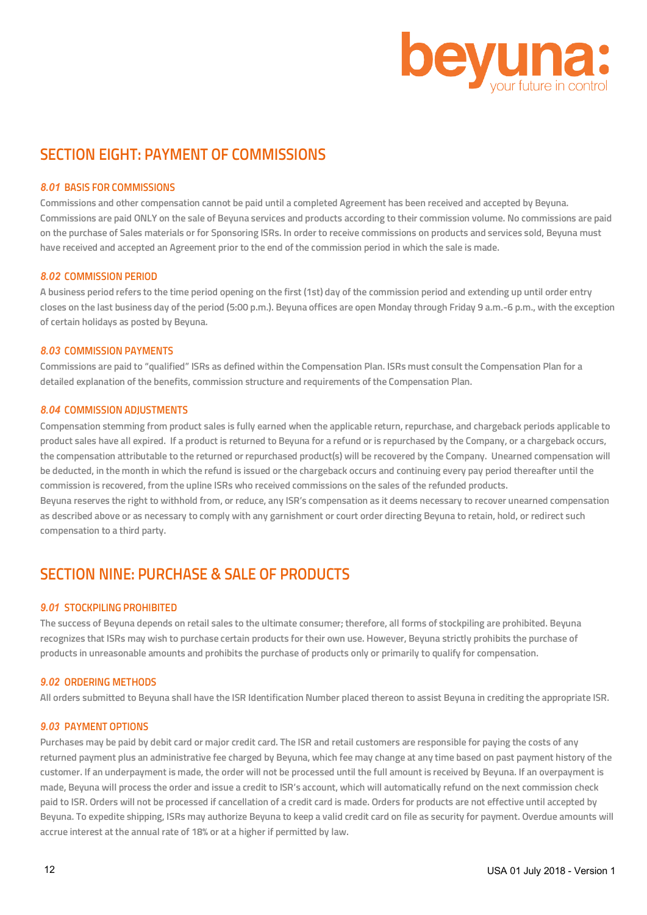

# **SECTION EIGHT: PAYMENT OF COMMISSIONS**

## *8.01* **BASIS FOR COMMISSIONS**

**Commissions and other compensation cannot be paid until a completed Agreement has been received and accepted by Beyuna. Commissions are paid ONLY on the sale of Beyuna services and products according to their commission volume. No commissions are paid on the purchase of Sales materials or for Sponsoring ISRs. In order to receive commissions on products and services sold, Beyuna must have received and accepted an Agreement prior to the end of the commission period in which the sale is made.**

## *8.02* **COMMISSION PERIOD**

**A business period refers to the time period opening on the first (1st) day of the commission period and extending up until order entry closes on the last business day of the period (5:00 p.m.). Beyuna offices are open Monday through Friday 9 a.m.-6 p.m., with the exception of certain holidays as posted by Beyuna.**

## *8.03* **COMMISSION PAYMENTS**

**Commissions are paid to "qualified" ISRs as defined within the Compensation Plan. ISRs must consult the Compensation Plan for a detailed explanation of the benefits, commission structure and requirements of the Compensation Plan.**

## *8.04* **COMMISSION ADJUSTMENTS**

**Compensation stemming from product sales is fully earned when the applicable return, repurchase, and chargeback periods applicable to product sales have all expired. If a product is returned to Beyuna for a refund or is repurchased by the Company, or a chargeback occurs, the compensation attributable to the returned or repurchased product(s) will be recovered by the Company. Unearned compensation will be deducted, in the month in which the refund is issued or the chargeback occurs and continuing every pay period thereafter until the commission is recovered, from the upline ISRs who received commissions on the sales of the refunded products. Beyuna reserves the right to withhold from, or reduce, any ISR's compensation as it deems necessary to recover unearned compensation as described above or as necessary to comply with any garnishment or court order directing Beyuna to retain, hold, or redirect such** 

**compensation to a third party.**

# **SECTION NINE: PURCHASE & SALE OF PRODUCTS**

## *9.01* **STOCKPILING PROHIBITED**

**The success of Beyuna depends on retail sales to the ultimate consumer; therefore, all forms of stockpiling are prohibited. Beyuna recognizes that ISRs may wish to purchase certain products for their own use. However, Beyuna strictly prohibits the purchase of products in unreasonable amounts and prohibits the purchase of products only or primarily to qualify for compensation.**

## *9.02* **ORDERING METHODS**

**All orders submitted to Beyuna shall have the ISR Identification Number placed thereon to assist Beyuna in crediting the appropriate ISR.**

## *9.03* **PAYMENT OPTIONS**

**Purchases may be paid by debit card or major credit card. The ISR and retail customers are responsible for paying the costs of any returned payment plus an administrative fee charged by Beyuna, which fee may change at any time based on past payment history of the customer. If an underpayment is made, the order will not be processed until the full amount is received by Beyuna. If an overpayment is made, Beyuna will process the order and issue a credit to ISR's account, which will automatically refund on the next commission check paid to ISR. Orders will not be processed if cancellation of a credit card is made. Orders for products are not effective until accepted by Beyuna. To expedite shipping, ISRs may authorize Beyuna to keep a valid credit card on file as security for payment. Overdue amounts will accrue interest at the annual rate of 18% or at a higher if permitted by law.**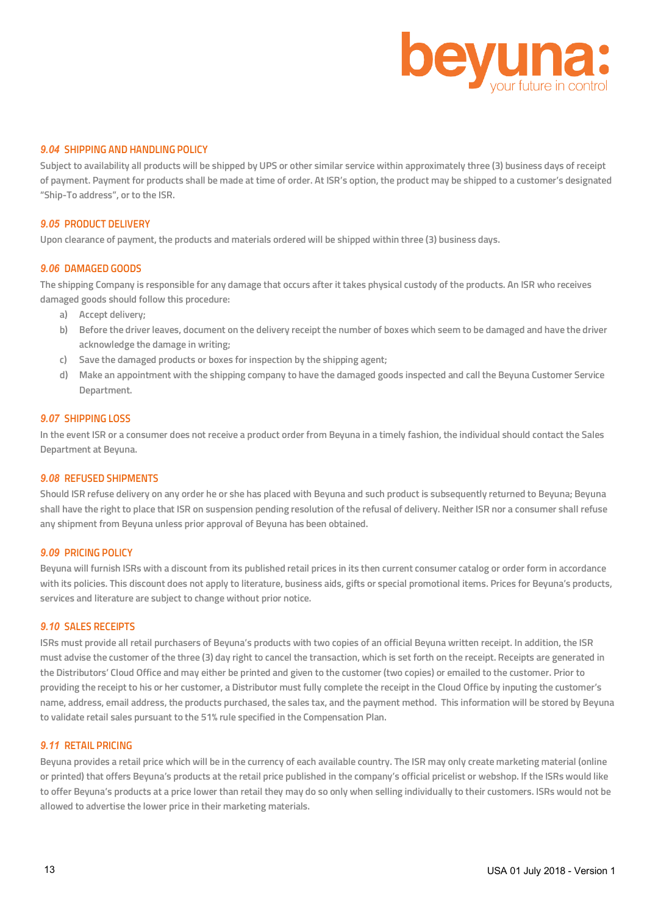

## *9.04* **SHIPPING AND HANDLING POLICY**

**Subject to availability all products will be shipped by UPS or other similar service within approximately three (3) business days of receipt of payment. Payment for products shall be made at time of order. At ISR's option, the product may be shipped to a customer's designated "Ship-To address", or to the ISR.**

#### *9.05* **PRODUCT DELIVERY**

**Upon clearance of payment, the products and materials ordered will be shipped within three (3) business days.**

#### *9.06* **DAMAGED GOODS**

**The shipping Company is responsible for any damage that occurs after it takes physical custody of the products. An ISR who receives damaged goods should follow this procedure:**

- **a) Accept delivery;**
- **b) Before the driver leaves, document on the delivery receipt the number of boxes which seem to be damaged and have the driver acknowledge the damage in writing;**
- **c) Save the damaged products or boxes for inspection by the shipping agent;**
- **d) Make an appointment with the shipping company to have the damaged goods inspected and call the Beyuna Customer Service Department.**

#### *9.07* **SHIPPING LOSS**

**In the event ISR or a consumer does not receive a product order from Beyuna in a timely fashion, the individual should contact the Sales Department at Beyuna.**

#### *9.08* **REFUSED SHIPMENTS**

**Should ISR refuse delivery on any order he or she has placed with Beyuna and such product is subsequently returned to Beyuna; Beyuna shall have the right to place that ISR on suspension pending resolution of the refusal of delivery. Neither ISR nor a consumer shall refuse any shipment from Beyuna unless prior approval of Beyuna has been obtained.**

## *9.09* **PRICING POLICY**

**Beyuna will furnish ISRs with a discount from its published retail prices in its then current consumer catalog or order form in accordance with its policies. This discount does not apply to literature, business aids, gifts or special promotional items. Prices for Beyuna's products, services and literature are subject to change without prior notice.**

#### *9.10* **SALES RECEIPTS**

**ISRs must provide all retail purchasers of Beyuna's products with two copies of an official Beyuna written receipt. In addition, the ISR must advise the customer of the three (3) day right to cancel the transaction, which is set forth on the receipt. Receipts are generated in the Distributors' Cloud Office and may either be printed and given to the customer (two copies) or emailed to the customer. Prior to providing the receipt to his or her customer, a Distributor must fully complete the receipt in the Cloud Office by inputing the customer's name, address, email address, the products purchased, the sales tax, and the payment method. This information will be stored by Beyuna to validate retail sales pursuant to the 51% rule specified in the Compensation Plan.**

## *9.11* **RETAIL PRICING**

**Beyuna provides a retail price which will be in the currency of each available country. The ISR may only create marketing material (online or printed) that offers Beyuna's products at the retail price published in the company's official pricelist or webshop. If the ISRs would like to offer Beyuna's products at a price lower than retail they may do so only when selling individually to their customers. ISRs would not be allowed to advertise the lower price in their marketing materials.**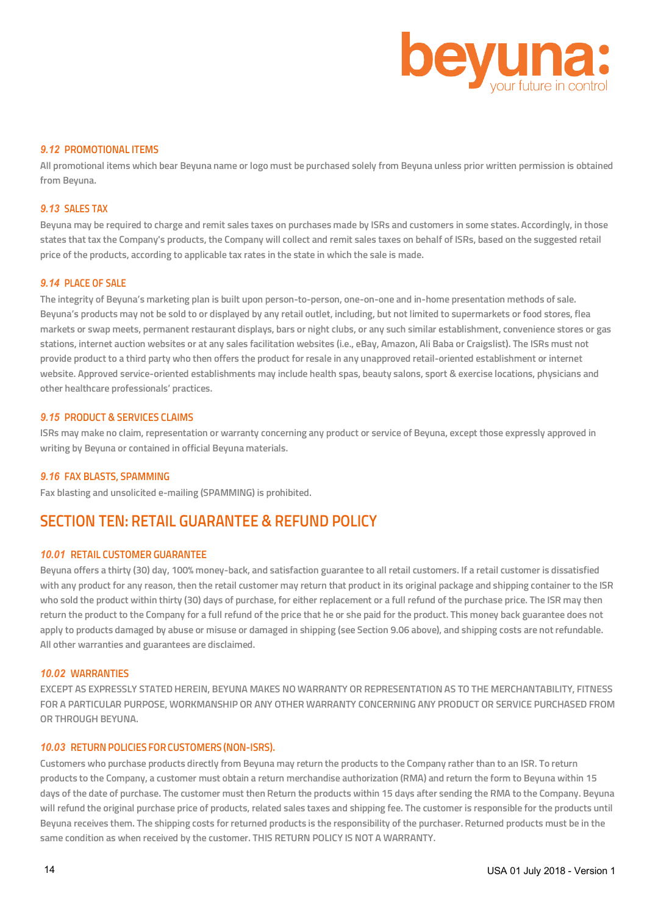

## *9.12* **PROMOTIONAL ITEMS**

**All promotional items which bear Beyuna name or logo must be purchased solely from Beyuna unless prior written permission is obtained from Beyuna.**

## *9.13* **SALES TAX**

**Beyuna may be required to charge and remit sales taxes on purchases made by ISRs and customers in some states. Accordingly, in those states that tax the Company's products, the Company will collect and remit sales taxes on behalf of ISRs, based on the suggested retail price of the products, according to applicable tax rates in the state in which the sale is made.**

#### *9.14* **PLACE OF SALE**

**The integrity of Beyuna's marketing plan is built upon person-to-person, one-on-one and in-home presentation methods of sale. Beyuna's products may not be sold to or displayed by any retail outlet, including, but not limited to supermarkets or food stores, flea markets or swap meets, permanent restaurant displays, bars or night clubs, or any such similar establishment, convenience stores or gas stations, internet auction websites or at any sales facilitation websites (i.e., eBay, Amazon, Ali Baba or Craigslist). The ISRs must not provide product to a third party who then offers the product for resale in any unapproved retail-oriented establishment or internet website. Approved service-oriented establishments may include health spas, beauty salons, sport & exercise locations, physicians and other healthcare professionals' practices.**

#### *9.15* **PRODUCT & SERVICES CLAIMS**

**ISRs may make no claim, representation or warranty concerning any product or service of Beyuna, except those expressly approved in writing by Beyuna or contained in official Beyuna materials.**

#### *9.16* **FAX BLASTS, SPAMMING**

**Fax blasting and unsolicited e-mailing (SPAMMING) is prohibited.**

## **SECTION TEN: RETAIL GUARANTEE & REFUND POLICY**

## *10.01* **RETAIL CUSTOMER GUARANTEE**

**Beyuna offers a thirty (30) day, 100% money-back, and satisfaction guarantee to all retail customers. If a retail customer is dissatisfied with any product for any reason, then the retail customer may return that product in its original package and shipping container to the ISR who sold the product within thirty (30) days of purchase, for either replacement or a full refund of the purchase price. The ISR may then return the product to the Company for a full refund of the price that he or she paid for the product. This money back guarantee does not apply to products damaged by abuse or misuse or damaged in shipping (see Section 9.06 above), and shipping costs are not refundable. All other warranties and guarantees are disclaimed.**

## *10.02* **WARRANTIES**

**EXCEPT AS EXPRESSLY STATED HEREIN, BEYUNA MAKES NO WARRANTY OR REPRESENTATION AS TO THE MERCHANTABILITY, FITNESS FOR A PARTICULAR PURPOSE, WORKMANSHIP OR ANY OTHER WARRANTY CONCERNING ANY PRODUCT OR SERVICE PURCHASED FROM OR THROUGH BEYUNA.**

## *10.03* **RETURNPOLICIES FORCUSTOMERS (NON-ISRS).**

**Customers who purchase products directly from Beyuna may return the products to the Company rather than to an ISR. To return products to the Company, a customer must obtain a return merchandise authorization (RMA) and return the form to Beyuna within 15 days of the date of purchase. The customer must then Return the products within 15 days after sending the RMA to the Company. Beyuna will refund the original purchase price of products, related sales taxes and shipping fee. The customer is responsible for the products until Beyuna receives them. The shipping costs for returned products is the responsibility of the purchaser. Returned products must be in the same condition as when received by the customer. THIS RETURN POLICY IS NOT A WARRANTY.**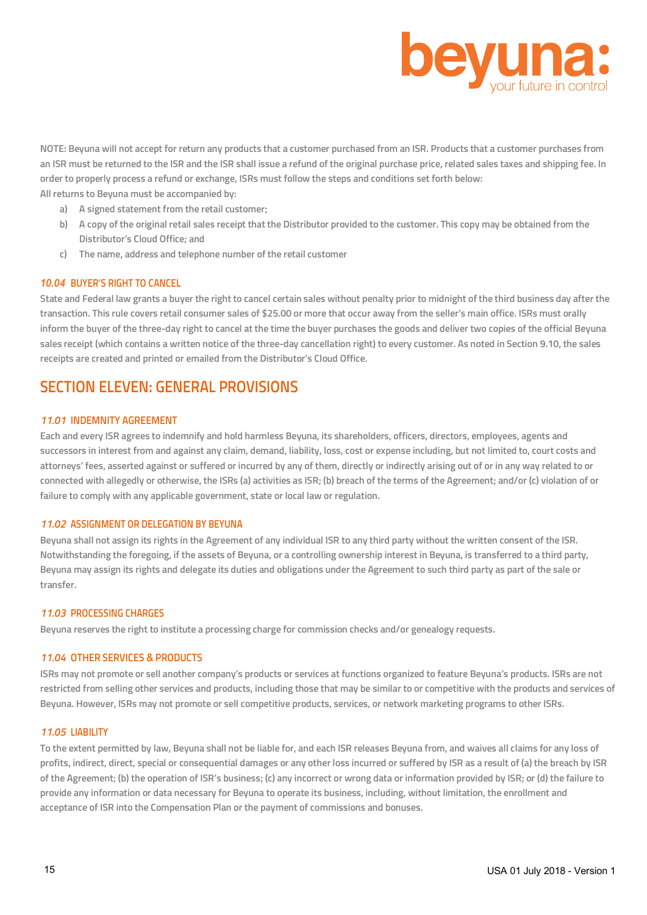

**NOTE: Beyuna will not accept for return any products that a customer purchased from an ISR. Products that a customer purchases from an ISR must be returned to the ISR and the ISR shall issue a refund of the original purchase price, related sales taxes and shipping fee. In order to properly process a refund or exchange, ISRs must follow the steps and conditions set forth below: All returns to Beyuna must be accompanied by:**

- **a) A signed statement from the retail customer;**
- **b) A copy of the original retail sales receipt that the Distributor provided to the customer. This copy may be obtained from the Distributor's Cloud Office; and**
- **c) The name, address and telephone number of the retail customer**

#### *10.04* **BUYER'S RIGHT TO CANCEL**

**State and Federal law grants a buyer the right to cancel certain sales without penalty prior to midnight of the third business day after the transaction. This rule covers retail consumer sales of \$25.00 or more that occur away from the seller's main office. ISRs must orally inform the buyer of the three-day right to cancel at the time the buyer purchases the goods and deliver two copies of the official Beyuna sales receipt (which contains a written notice of the three-day cancellation right) to every customer. As noted in Section 9.10, the sales receipts are created and printed or emailed from the Distributor's Cloud Office.**

## **SECTION ELEVEN: GENERAL PROVISIONS**

#### *11.01* **INDEMNITY AGREEMENT**

**Each and every ISR agrees to indemnify and hold harmless Beyuna, its shareholders, officers, directors, employees, agents and successors in interest from and against any claim, demand, liability, loss, cost or expense including, but not limited to, court costs and attorneys' fees, asserted against or suffered or incurred by any of them, directly or indirectly arising out of or in any way related to or connected with allegedly or otherwise, the ISRs (a) activities as ISR; (b) breach of the terms of the Agreement; and/or (c) violation of or failure to comply with any applicable government, state or local law or regulation.**

### *11.02* **ASSIGNMENT OR DELEGATION BY BEYUNA**

**Beyuna shall not assign its rights in the Agreement of any individual ISR to any third party without the written consent of the ISR. Notwithstanding the foregoing, if the assets of Beyuna, or a controlling ownership interest in Beyuna, is transferred to a third party, Beyuna may assign its rights and delegate its duties and obligations under the Agreement to such third party as part of the sale or transfer.**

## *11.03* **PROCESSING CHARGES**

**Beyuna reserves the right to institute a processing charge for commission checks and/or genealogy requests.**

#### *11.04* **OTHER SERVICES & PRODUCTS**

**ISRs may not promote or sell another company's products or services at functions organized to feature Beyuna's products. ISRs are not restricted from selling other services and products, including those that may be similar to or competitive with the products and services of Beyuna. However, ISRs may not promote or sell competitive products, services, or network marketing programs to other ISRs.**

#### *11.05* **LIABILITY**

**To the extent permitted by law, Beyuna shall not be liable for, and each ISR releases Beyuna from, and waives all claims for any loss of profits, indirect, direct, special or consequential damages or any other loss incurred or suffered by ISR as a result of (a) the breach by ISR of the Agreement; (b) the operation of ISR's business; (c) any incorrect or wrong data or information provided by ISR; or (d) the failure to provide any information or data necessary for Beyuna to operate its business, including, without limitation, the enrollment and acceptance of ISR into the Compensation Plan or the payment of commissions and bonuses.**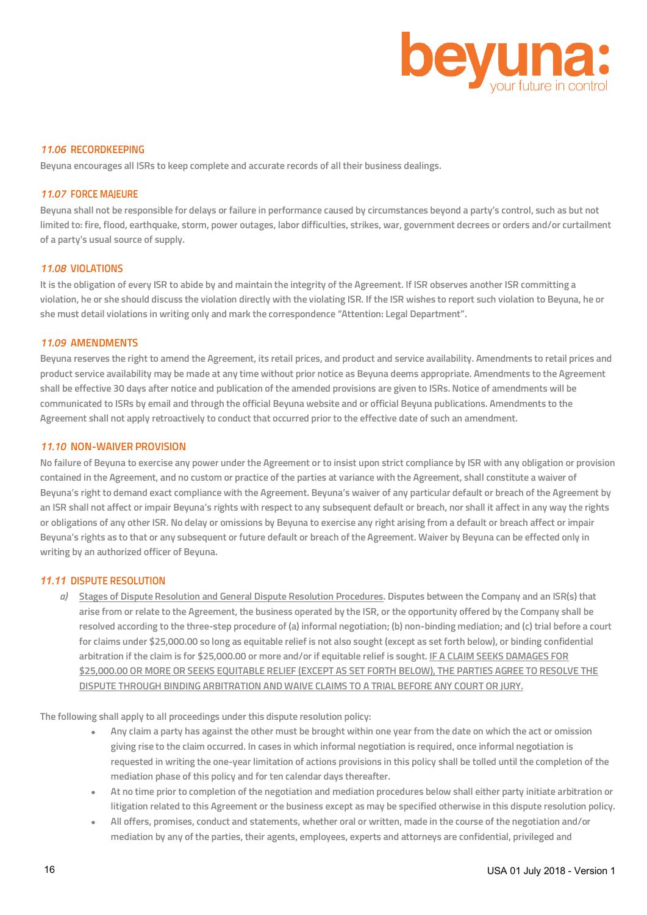

#### *11.06* **RECORDKEEPING**

**Beyuna encourages all ISRs to keep complete and accurate records of all their business dealings.**

#### *11.07* **FORCE MAJEURE**

**Beyuna shall not be responsible for delays or failure in performance caused by circumstances beyond a party's control, such as but not limited to: fire, flood, earthquake, storm, power outages, labor difficulties, strikes, war, government decrees or orders and/or curtailment of a party's usual source of supply.**

## *11.08* **VIOLATIONS**

**It is the obligation of every ISR to abide by and maintain the integrity of the Agreement. If ISR observes another ISR committing a violation, he or she should discuss the violation directly with the violating ISR. If the ISR wishes to report such violation to Beyuna, he or she must detail violations in writing only and mark the correspondence "Attention: Legal Department".**

#### *11.09* **AMENDMENTS**

**Beyuna reserves the right to amend the Agreement, its retail prices, and product and service availability. Amendments to retail prices and product service availability may be made at any time without prior notice as Beyuna deems appropriate. Amendments to the Agreement shall be effective 30 days after notice and publication of the amended provisions are given to ISRs. Notice of amendments will be communicated to ISRs by email and through the official Beyuna website and or official Beyuna publications. Amendments to the Agreement shall not apply retroactively to conduct that occurred prior to the effective date of such an amendment.** 

## *11.10* **NON-WAIVER PROVISION**

**No failure of Beyuna to exercise any power under the Agreement or to insist upon strict compliance by ISR with any obligation or provision contained in the Agreement, and no custom or practice of the parties at variance with the Agreement, shall constitute a waiver of Beyuna's right to demand exact compliance with the Agreement. Beyuna's waiver of any particular default or breach of the Agreement by an ISR shall not affect or impair Beyuna's rights with respect to any subsequent default or breach, nor shall it affect in any way the rights or obligations of any other ISR. No delay or omissions by Beyuna to exercise any right arising from a default or breach affect or impair Beyuna's rights as to that or any subsequent or future default or breach of the Agreement. Waiver by Beyuna can be effected only in writing by an authorized officer of Beyuna.**

## *11.11* **DISPUTE RESOLUTION**

*a)* **Stages of Dispute Resolution and General Dispute Resolution Procedures. Disputes between the Company and an ISR(s) that arise from or relate to the Agreement, the business operated by the ISR, or the opportunity offered by the Company shall be resolved according to the three-step procedure of (a) informal negotiation; (b) non-binding mediation; and (c) trial before a court for claims under \$25,000.00 so long as equitable relief is not also sought (except as set forth below), or binding confidential arbitration if the claim is for \$25,000.00 or more and/or if equitable relief is sought. IF A CLAIM SEEKS DAMAGES FOR \$25,000.00 OR MORE OR SEEKS EQUITABLE RELIEF (EXCEPT AS SET FORTH BELOW), THE PARTIES AGREE TO RESOLVE THE DISPUTE THROUGH BINDING ARBITRATION AND WAIVE CLAIMS TO A TRIAL BEFORE ANY COURT OR JURY.**

**The following shall apply to all proceedings under this dispute resolution policy:**

- **Any claim a party has against the other must be brought within one year from the date on which the act or omission giving rise to the claim occurred. In cases in which informal negotiation is required, once informal negotiation is requested in writing the one-year limitation of actions provisions in this policy shall be tolled until the completion of the mediation phase of this policy and for ten calendar days thereafter.**
- **At no time prior to completion of the negotiation and mediation procedures below shall either party initiate arbitration or litigation related to this Agreement or the business except as may be specified otherwise in this dispute resolution policy.**
- **All offers, promises, conduct and statements, whether oral or written, made in the course of the negotiation and/or mediation by any of the parties, their agents, employees, experts and attorneys are confidential, privileged and**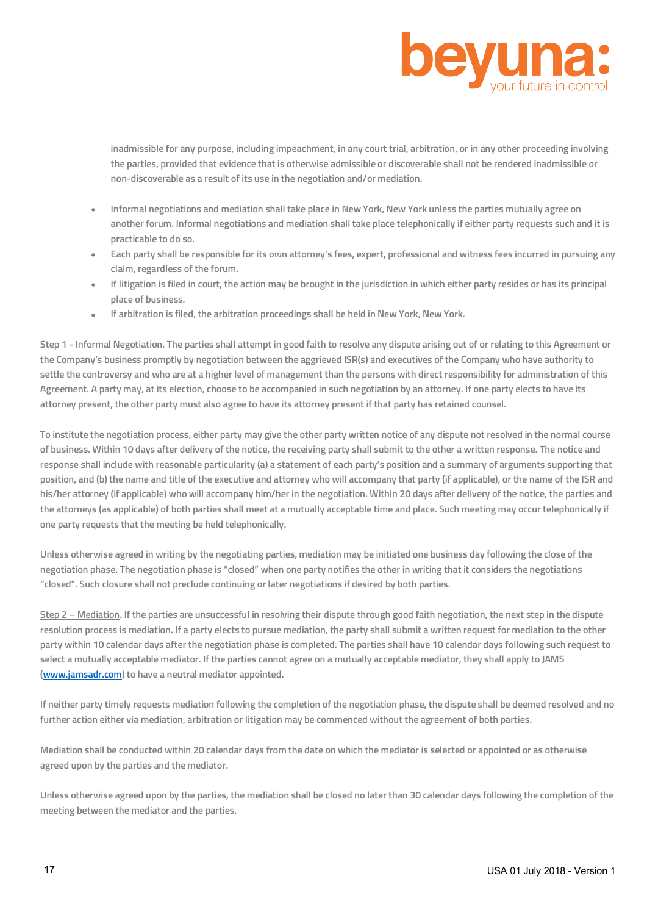

**inadmissible for any purpose, including impeachment, in any court trial, arbitration, or in any other proceeding involving the parties, provided that evidence that is otherwise admissible or discoverable shall not be rendered inadmissible or non-discoverable as a result of its use in the negotiation and/or mediation.** 

- **Informal negotiations and mediation shall take place in New York, New York unless the parties mutually agree on another forum. Informal negotiations and mediation shall take place telephonically if either party requests such and it is practicable to do so.**
- **Each party shall be responsible for its own attorney's fees, expert, professional and witness fees incurred in pursuing any claim, regardless of the forum.**
- **If litigation is filed in court, the action may be brought in the jurisdiction in which either party resides or has its principal place of business.**
- **If arbitration is filed, the arbitration proceedings shall be held in New York, New York.**

**Step 1 - Informal Negotiation. The parties shall attempt in good faith to resolve any dispute arising out of or relating to this Agreement or the Company's business promptly by negotiation between the aggrieved ISR(s) and executives of the Company who have authority to settle the controversy and who are at a higher level of management than the persons with direct responsibility for administration of this Agreement. A party may, at its election, choose to be accompanied in such negotiation by an attorney. If one party elects to have its attorney present, the other party must also agree to have its attorney present if that party has retained counsel.**

**To institute the negotiation process, either party may give the other party written notice of any dispute not resolved in the normal course of business. Within 10 days after delivery of the notice, the receiving party shall submit to the other a written response. The notice and response shall include with reasonable particularity (a) a statement of each party's position and a summary of arguments supporting that position, and (b) the name and title of the executive and attorney who will accompany that party (if applicable), or the name of the ISR and his/her attorney (if applicable) who will accompany him/her in the negotiation. Within 20 days after delivery of the notice, the parties and the attorneys (as applicable) of both parties shall meet at a mutually acceptable time and place. Such meeting may occur telephonically if one party requests that the meeting be held telephonically.** 

**Unless otherwise agreed in writing by the negotiating parties, mediation may be initiated one business day following the close of the negotiation phase. The negotiation phase is "closed" when one party notifies the other in writing that it considers the negotiations "closed". Such closure shall not preclude continuing or later negotiations if desired by both parties.**

**Step 2 – Mediation. If the parties are unsuccessful in resolving their dispute through good faith negotiation, the next step in the dispute resolution process is mediation. If a party elects to pursue mediation, the party shall submit a written request for mediation to the other party within 10 calendar days after the negotiation phase is completed. The parties shall have 10 calendar days following such request to select a mutually acceptable mediator. If the parties cannot agree on a mutually acceptable mediator, they shall apply to JAMS (www.jamsadr.com) to have a neutral mediator appointed.** 

**If neither party timely requests mediation following the completion of the negotiation phase, the dispute shall be deemed resolved and no further action either via mediation, arbitration or litigation may be commenced without the agreement of both parties.**

**Mediation shall be conducted within 20 calendar days from the date on which the mediator is selected or appointed or as otherwise agreed upon by the parties and the mediator.**

**Unless otherwise agreed upon by the parties, the mediation shall be closed no later than 30 calendar days following the completion of the meeting between the mediator and the parties.**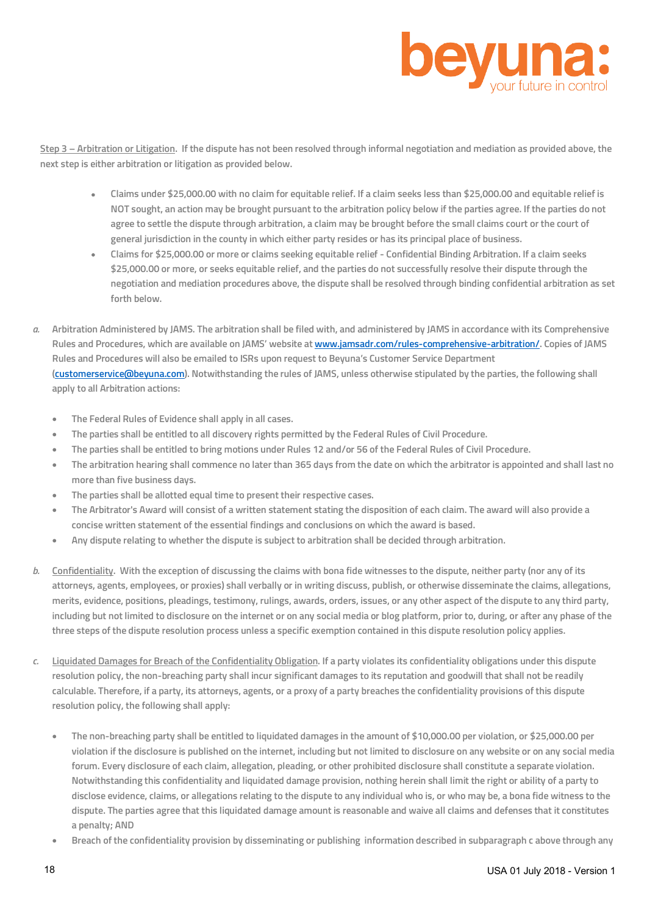

**Step 3 – Arbitration or Litigation. If the dispute has not been resolved through informal negotiation and mediation as provided above, the next step is either arbitration or litigation as provided below.** 

- **Claims under \$25,000.00 with no claim for equitable relief. If a claim seeks less than \$25,000.00 and equitable relief is NOT sought, an action may be brought pursuant to the arbitration policy below if the parties agree. If the parties do not agree to settle the dispute through arbitration, a claim may be brought before the small claims court or the court of general jurisdiction in the county in which either party resides or has its principal place of business.**
- **Claims for \$25,000.00 or more or claims seeking equitable relief - Confidential Binding Arbitration. If a claim seeks \$25,000.00 or more, or seeks equitable relief, and the parties do not successfully resolve their dispute through the negotiation and mediation procedures above, the dispute shall be resolved through binding confidential arbitration as set forth below.**
- *a.* **Arbitration Administered by JAMS. The arbitration shall be filed with, and administered by JAMS in accordance with its Comprehensive Rules and Procedures, which are available on JAMS' website at www.jamsadr.com/rules-comprehensive-arbitration/. Copies of JAMS Rules and Procedures will also be emailed to ISRs upon request to Beyuna's Customer Service Department (customerservice@beyuna.com). Notwithstanding the rules of JAMS, unless otherwise stipulated by the parties, the following shall apply to all Arbitration actions:**
	- **The Federal Rules of Evidence shall apply in all cases.**
	- **The parties shall be entitled to all discovery rights permitted by the Federal Rules of Civil Procedure.**
	- **The parties shall be entitled to bring motions under Rules 12 and/or 56 of the Federal Rules of Civil Procedure.**
	- **The arbitration hearing shall commence no later than 365 days from the date on which the arbitrator is appointed and shall last no more than five business days.**
	- **The parties shall be allotted equal time to present their respective cases.**
	- **The Arbitrator's Award will consist of a written statement stating the disposition of each claim. The award will also provide a concise written statement of the essential findings and conclusions on which the award is based.**
	- **Any dispute relating to whether the dispute is subject to arbitration shall be decided through arbitration.**
- *b.* **Confidentiality. With the exception of discussing the claims with bona fide witnesses to the dispute, neither party (nor any of its attorneys, agents, employees, or proxies) shall verbally or in writing discuss, publish, or otherwise disseminate the claims, allegations, merits, evidence, positions, pleadings, testimony, rulings, awards, orders, issues, or any other aspect of the dispute to any third party, including but not limited to disclosure on the internet or on any social media or blog platform, prior to, during, or after any phase of the three steps of the dispute resolution process unless a specific exemption contained in this dispute resolution policy applies.**
- *c.* **Liquidated Damages for Breach of the Confidentiality Obligation. If a party violates its confidentiality obligations under this dispute resolution policy, the non-breaching party shall incur significant damages to its reputation and goodwill that shall not be readily calculable. Therefore, if a party, its attorneys, agents, or a proxy of a party breaches the confidentiality provisions of this dispute resolution policy, the following shall apply:**
	- **The non-breaching party shall be entitled to liquidated damages in the amount of \$10,000.00 per violation, or \$25,000.00 per violation if the disclosure is published on the internet, including but not limited to disclosure on any website or on any social media forum. Every disclosure of each claim, allegation, pleading, or other prohibited disclosure shall constitute a separate violation. Notwithstanding this confidentiality and liquidated damage provision, nothing herein shall limit the right or ability of a party to disclose evidence, claims, or allegations relating to the dispute to any individual who is, or who may be, a bona fide witness to the dispute. The parties agree that this liquidated damage amount is reasonable and waive all claims and defenses that it constitutes a penalty; AND**
	- **Breach of the confidentiality provision by disseminating or publishing information described in subparagraph c above through any**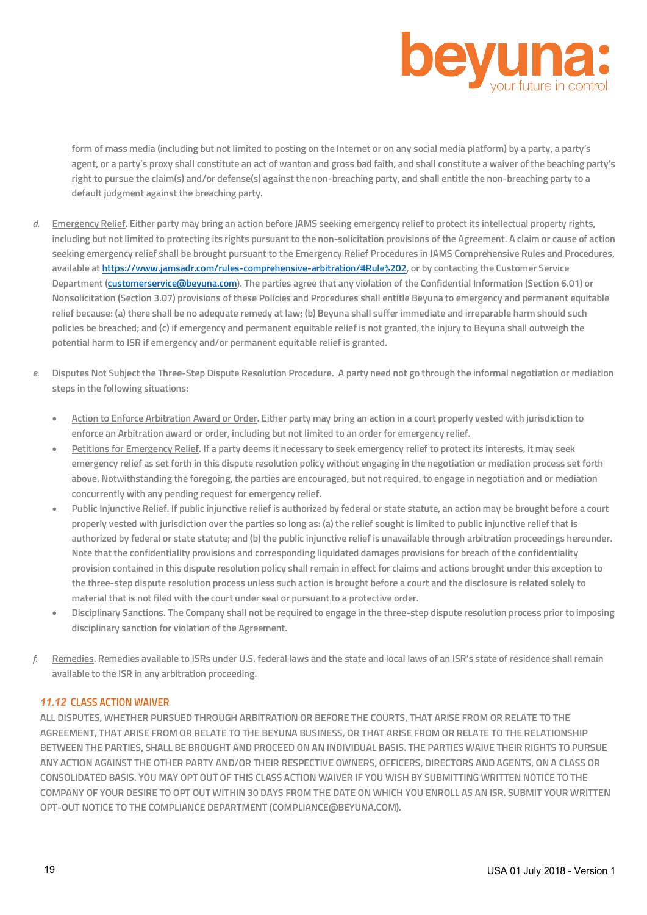

**form of mass media (including but not limited to posting on the Internet or on any social media platform) by a party, a party's agent, or a party's proxy shall constitute an act of wanton and gross bad faith, and shall constitute a waiver of the beaching party's right to pursue the claim(s) and/or defense(s) against the non-breaching party, and shall entitle the non-breaching party to a default judgment against the breaching party.**

- *d.* **Emergency Relief. Either party may bring an action before JAMS seeking emergency relief to protect its intellectual property rights, including but not limited to protecting its rights pursuant to the non-solicitation provisions of the Agreement. A claim or cause of action seeking emergency relief shall be brought pursuant to the Emergency Relief Procedures in JAMS Comprehensive Rules and Procedures, available at https://www.jamsadr.com/rules-comprehensive-arbitration/#Rule%202, or by contacting the Customer Service Department (customerservice@beyuna.com). The parties agree that any violation of the Confidential Information (Section 6.01) or Nonsolicitation (Section 3.07) provisions of these Policies and Procedures shall entitle Beyuna to emergency and permanent equitable relief because: (a) there shall be no adequate remedy at law; (b) Beyuna shall suffer immediate and irreparable harm should such policies be breached; and (c) if emergency and permanent equitable relief is not granted, the injury to Beyuna shall outweigh the potential harm to ISR if emergency and/or permanent equitable relief is granted.**
- *e.* **Disputes Not Subject the Three-Step Dispute Resolution Procedure. A party need not go through the informal negotiation or mediation steps in the following situations:**
	- **Action to Enforce Arbitration Award or Order. Either party may bring an action in a court properly vested with jurisdiction to enforce an Arbitration award or order, including but not limited to an order for emergency relief.**
	- **Petitions for Emergency Relief. If a party deems it necessary to seek emergency relief to protect its interests, it may seek emergency relief as set forth in this dispute resolution policy without engaging in the negotiation or mediation process set forth above. Notwithstanding the foregoing, the parties are encouraged, but not required, to engage in negotiation and or mediation concurrently with any pending request for emergency relief.**
	- **Public Injunctive Relief. If public injunctive relief is authorized by federal or state statute, an action may be brought before a court properly vested with jurisdiction over the parties so long as: (a) the relief sought is limited to public injunctive relief that is authorized by federal or state statute; and (b) the public injunctive relief is unavailable through arbitration proceedings hereunder. Note that the confidentiality provisions and corresponding liquidated damages provisions for breach of the confidentiality provision contained in this dispute resolution policy shall remain in effect for claims and actions brought under this exception to the three-step dispute resolution process unless such action is brought before a court and the disclosure is related solely to material that is not filed with the court under seal or pursuant to a protective order.**
	- **Disciplinary Sanctions. The Company shall not be required to engage in the three-step dispute resolution process prior to imposing disciplinary sanction for violation of the Agreement.**
- *f.* **Remedies. Remedies available to ISRs under U.S. federal laws and the state and local laws of an ISR's state of residence shall remain available to the ISR in any arbitration proceeding.**

## *11.12* **CLASS ACTION WAIVER**

**ALL DISPUTES, WHETHER PURSUED THROUGH ARBITRATION OR BEFORE THE COURTS, THAT ARISE FROM OR RELATE TO THE AGREEMENT, THAT ARISE FROM OR RELATE TO THE BEYUNA BUSINESS, OR THAT ARISE FROM OR RELATE TO THE RELATIONSHIP BETWEEN THE PARTIES, SHALL BE BROUGHT AND PROCEED ON AN INDIVIDUAL BASIS. THE PARTIES WAIVE THEIR RIGHTS TO PURSUE ANY ACTION AGAINST THE OTHER PARTY AND/OR THEIR RESPECTIVE OWNERS, OFFICERS, DIRECTORS AND AGENTS, ON A CLASS OR CONSOLIDATED BASIS. YOU MAY OPT OUT OF THIS CLASS ACTION WAIVER IF YOU WISH BY SUBMITTING WRITTEN NOTICE TO THE COMPANY OF YOUR DESIRE TO OPT OUT WITHIN 30 DAYS FROM THE DATE ON WHICH YOU ENROLL AS AN ISR. SUBMIT YOUR WRITTEN OPT-OUT NOTICE TO THE COMPLIANCE DEPARTMENT (COMPLIANCE@BEYUNA.COM).**